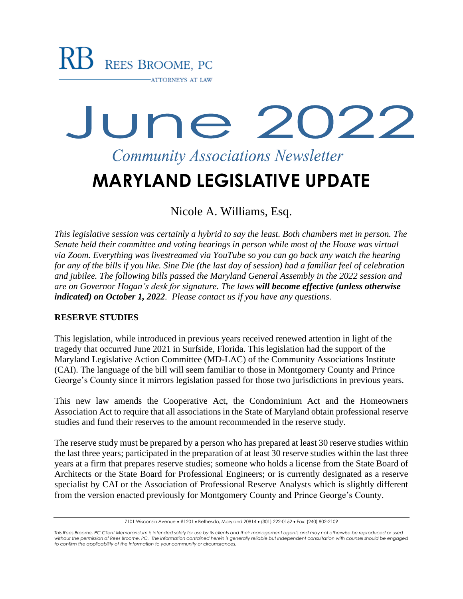# June 2022 **Community Associations Newsletter MARYLAND LEGISLATIVE UPDATE**

Nicole A. Williams, Esq.

*This legislative session was certainly a hybrid to say the least. Both chambers met in person. The Senate held their committee and voting hearings in person while most of the House was virtual via Zoom. Everything was livestreamed via YouTube so you can go back any watch the hearing for any of the bills if you like. Sine Die (the last day of session) had a familiar feel of celebration and jubilee. The following bills passed the Maryland General Assembly in the 2022 session and are on Governor Hogan's desk for signature. The laws will become effective (unless otherwise indicated) on October 1, 2022. Please contact us if you have any questions.*

#### **RESERVE STUDIES**

This legislation, while introduced in previous years received renewed attention in light of the tragedy that occurred June 2021 in Surfside, Florida. This legislation had the support of the Maryland Legislative Action Committee (MD-LAC) of the Community Associations Institute (CAI). The language of the bill will seem familiar to those in Montgomery County and Prince George's County since it mirrors legislation passed for those two jurisdictions in previous years.

This new law amends the Cooperative Act, the Condominium Act and the Homeowners Association Act to require that all associations in the State of Maryland obtain professional reserve studies and fund their reserves to the amount recommended in the reserve study.

The reserve study must be prepared by a person who has prepared at least 30 reserve studies within the last three years; participated in the preparation of at least 30 reserve studies within the last three years at a firm that prepares reserve studies; someone who holds a license from the State Board of Architects or the State Board for Professional Engineers; or is currently designated as a reserve specialist by CAI or the Association of Professional Reserve Analysts which is slightly different from the version enacted previously for Montgomery County and Prince George's County.

<sup>7101</sup> Wisconsin Avenue • #1201 • Bethesda, Maryland 20814 • (301) 222-0152 • Fax: (240) 802-2109

*This Rees Broome, PC Client Memorandum is intended solely for use by its clients and their management agents and may not otherwise be reproduced or used without the permission of Rees Broome, PC. The information contained herein is generally reliable but independent consultation with counsel should be engaged to confirm the applicability of the information to your community or circumstances.*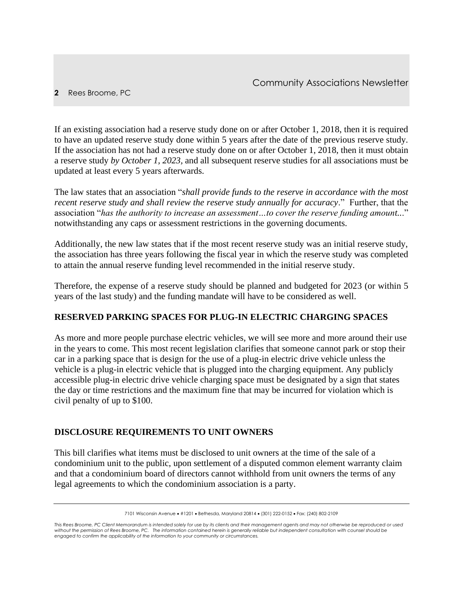If an existing association had a reserve study done on or after October 1, 2018, then it is required to have an updated reserve study done within 5 years after the date of the previous reserve study. If the association has not had a reserve study done on or after October 1, 2018, then it must obtain a reserve study *by October 1, 2023,* and all subsequent reserve studies for all associations must be updated at least every 5 years afterwards.

The law states that an association "*shall provide funds to the reserve in accordance with the most recent reserve study and shall review the reserve study annually for accuracy*." Further, that the association "*has the authority to increase an assessment…to cover the reserve funding amount..*." notwithstanding any caps or assessment restrictions in the governing documents.

Additionally, the new law states that if the most recent reserve study was an initial reserve study, the association has three years following the fiscal year in which the reserve study was completed to attain the annual reserve funding level recommended in the initial reserve study.

Therefore, the expense of a reserve study should be planned and budgeted for 2023 (or within 5 years of the last study) and the funding mandate will have to be considered as well.

# **RESERVED PARKING SPACES FOR PLUG-IN ELECTRIC CHARGING SPACES**

As more and more people purchase electric vehicles, we will see more and more around their use in the years to come. This most recent legislation clarifies that someone cannot park or stop their car in a parking space that is design for the use of a plug-in electric drive vehicle unless the vehicle is a plug-in electric vehicle that is plugged into the charging equipment. Any publicly accessible plug-in electric drive vehicle charging space must be designated by a sign that states the day or time restrictions and the maximum fine that may be incurred for violation which is civil penalty of up to \$100.

#### **DISCLOSURE REQUIREMENTS TO UNIT OWNERS**

This bill clarifies what items must be disclosed to unit owners at the time of the sale of a condominium unit to the public, upon settlement of a disputed common element warranty claim and that a condominium board of directors cannot withhold from unit owners the terms of any legal agreements to which the condominium association is a party.

<sup>7101</sup> Wisconsin Avenue • #1201 • Bethesda, Maryland 20814 • (301) 222-0152 • Fax: (240) 802-2109

*This Rees Broome, PC Client Memorandum is intended solely for use by its clients and their management agents and may not otherwise be reproduced or used without the permission of Rees Broome, PC. The information contained herein is generally reliable but independent consultation with counsel should be engaged to confirm the applicability of the information to your community or circumstances.*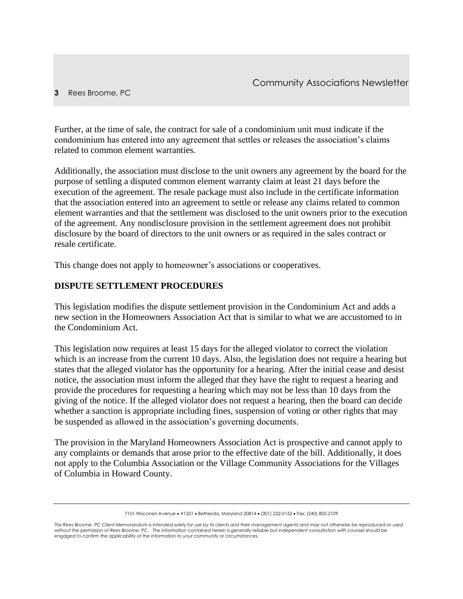#### **3** Rees Broome, PC

Further, at the time of sale, the contract for sale of a condominium unit must indicate if the condominium has entered into any agreement that settles or releases the association's claims related to common element warranties.

Additionally, the association must disclose to the unit owners any agreement by the board for the purpose of settling a disputed common element warranty claim at least 21 days before the execution of the agreement. The resale package must also include in the certificate information that the association entered into an agreement to settle or release any claims related to common element warranties and that the settlement was disclosed to the unit owners prior to the execution of the agreement. Any nondisclosure provision in the settlement agreement does not prohibit disclosure by the board of directors to the unit owners or as required in the sales contract or resale certificate.

This change does not apply to homeowner's associations or cooperatives.

### **DISPUTE SETTLEMENT PROCEDURES**

This legislation modifies the dispute settlement provision in the Condominium Act and adds a new section in the Homeowners Association Act that is similar to what we are accustomed to in the Condominium Act.

This legislation now requires at least 15 days for the alleged violator to correct the violation which is an increase from the current 10 days. Also, the legislation does not require a hearing but states that the alleged violator has the opportunity for a hearing. After the initial cease and desist notice, the association must inform the alleged that they have the right to request a hearing and provide the procedures for requesting a hearing which may not be less than 10 days from the giving of the notice. If the alleged violator does not request a hearing, then the board can decide whether a sanction is appropriate including fines, suspension of voting or other rights that may be suspended as allowed in the association's governing documents.

The provision in the Maryland Homeowners Association Act is prospective and cannot apply to any complaints or demands that arose prior to the effective date of the bill. Additionally, it does not apply to the Columbia Association or the Village Community Associations for the Villages of Columbia in Howard County.

<sup>7101</sup> Wisconsin Avenue • #1201 • Bethesda, Maryland 20814 • (301) 222-0152 • Fax: (240) 802-2109

*This Rees Broome, PC Client Memorandum is intended solely for use by its clients and their management agents and may not otherwise be reproduced or used without the permission of Rees Broome, PC. The information contained herein is generally reliable but independent consultation with counsel should be engaged to confirm the applicability of the information to your community or circumstances.*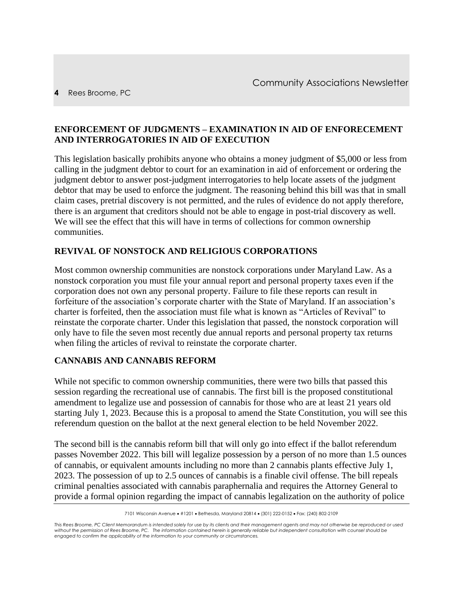#### **ENFORCEMENT OF JUDGMENTS – EXAMINATION IN AID OF ENFORECEMENT AND INTERROGATORIES IN AID OF EXECUTION**

This legislation basically prohibits anyone who obtains a money judgment of \$5,000 or less from calling in the judgment debtor to court for an examination in aid of enforcement or ordering the judgment debtor to answer post-judgment interrogatories to help locate assets of the judgment debtor that may be used to enforce the judgment. The reasoning behind this bill was that in small claim cases, pretrial discovery is not permitted, and the rules of evidence do not apply therefore, there is an argument that creditors should not be able to engage in post-trial discovery as well. We will see the effect that this will have in terms of collections for common ownership communities.

#### **REVIVAL OF NONSTOCK AND RELIGIOUS CORPORATIONS**

Most common ownership communities are nonstock corporations under Maryland Law. As a nonstock corporation you must file your annual report and personal property taxes even if the corporation does not own any personal property. Failure to file these reports can result in forfeiture of the association's corporate charter with the State of Maryland. If an association's charter is forfeited, then the association must file what is known as "Articles of Revival" to reinstate the corporate charter. Under this legislation that passed, the nonstock corporation will only have to file the seven most recently due annual reports and personal property tax returns when filing the articles of revival to reinstate the corporate charter.

#### **CANNABIS AND CANNABIS REFORM**

While not specific to common ownership communities, there were two bills that passed this session regarding the recreational use of cannabis. The first bill is the proposed constitutional amendment to legalize use and possession of cannabis for those who are at least 21 years old starting July 1, 2023. Because this is a proposal to amend the State Constitution, you will see this referendum question on the ballot at the next general election to be held November 2022.

The second bill is the cannabis reform bill that will only go into effect if the ballot referendum passes November 2022. This bill will legalize possession by a person of no more than 1.5 ounces of cannabis, or equivalent amounts including no more than 2 cannabis plants effective July 1, 2023. The possession of up to 2.5 ounces of cannabis is a finable civil offense. The bill repeals criminal penalties associated with cannabis paraphernalia and requires the Attorney General to provide a formal opinion regarding the impact of cannabis legalization on the authority of police

<sup>7101</sup> Wisconsin Avenue • #1201 • Bethesda, Maryland 20814 • (301) 222-0152 • Fax: (240) 802-2109

*This Rees Broome, PC Client Memorandum is intended solely for use by its clients and their management agents and may not otherwise be reproduced or used without the permission of Rees Broome, PC. The information contained herein is generally reliable but independent consultation with counsel should be engaged to confirm the applicability of the information to your community or circumstances.*